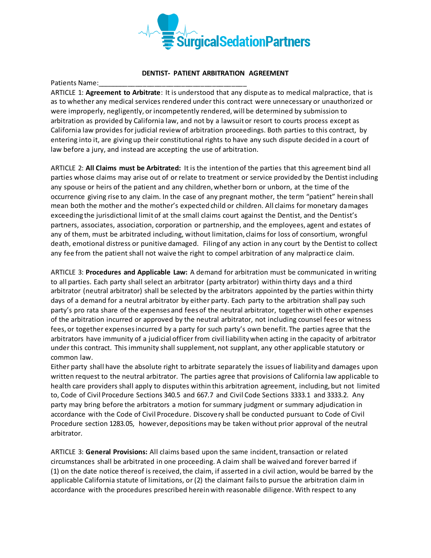

## **DENTIST- PATIENT ARBITRATION AGREEMENT**

Patients Name:

ARTICLE 1: **Agreement to Arbitrate**: It is understood that any dispute as to medical malpractice, that is as to whether any medical services rendered under this contract were unnecessary or unauthorized or were improperly, negligently, or incompetently rendered, will be determined by submission to arbitration as provided by California law, and not by a lawsuit or resort to courts process except as California law provides for judicial review of arbitration proceedings. Both parties to this contract, by entering into it, are giving up their constitutional rights to have any such dispute decided in a court of law before a jury, and instead are accepting the use of arbitration.

ARTICLE 2: **All Claims must be Arbitrated:** It is the intention of the parties that this agreement bind all parties whose claims may arise out of or relate to treatment or service provided by the Dentist including any spouse or heirs of the patient and any children, whether born or unborn, at the time of the occurrence giving rise to any claim. In the case of any pregnant mother, the term "patient" herein shall mean both the mother and the mother's expected child or children. All claims for monetary damages exceeding the jurisdictional limit of at the small claims court against the Dentist, and the Dentist's partners, associates, association, corporation or partnership, and the employees, agent and estates of any of them, must be arbitrated including, without limitation, claims for loss of consortium, wrongful death, emotional distress or punitive damaged. Filing of any action in any court by the Dentist to collect any fee from the patient shall not waive the right to compel arbitration of any malpracti ce claim.

ARTICLE 3: **Procedures and Applicable Law:** A demand for arbitration must be communicated in writing to all parties. Each party shall select an arbitrator (party arbitrator) within thirty days and a third arbitrator (neutral arbitrator) shall be selected by the arbitrators appointed by the parties within thirty days of a demand for a neutral arbitrator by either party. Each party to the arbitration shall pay such party's pro rata share of the expenses and fees of the neutral arbitrator, together with other expenses of the arbitration incurred or approved by the neutral arbitrator, not including counsel fees or witness fees, or together expenses incurred by a party for such party's own benefit. The parties agree that the arbitrators have immunity of a judicial officer from civil liability when acting in the capacity of arbitrator under this contract. This immunity shall supplement, not supplant, any other applicable statutory or common law.

Either party shall have the absolute right to arbitrate separately the issues of liability and damages upon written request to the neutral arbitrator. The parties agree that provisions of California law applicable to health care providers shall apply to disputes within this arbitration agreement, including, but not limited to, Code of Civil Procedure Sections 340.5 and 667.7 and Civil Code Sections 3333.1 and 3333.2. Any party may bring before the arbitrators a motion for summary judgment or summary adjudication in accordance with the Code of Civil Procedure. Discovery shall be conducted pursuant to Code of Civil Procedure section 1283.05, however, depositions may be taken without prior approval of the neutral arbitrator.

ARTICLE 3: **General Provisions:** All claims based upon the same incident, transaction or related circumstances shall be arbitrated in one proceeding. A claim shall be waived and forever barred if (1) on the date notice thereof is received, the claim, if asserted in a civil action, would be barred by the applicable California statute of limitations, or (2) the claimant fails to pursue the arbitration claim in accordance with the procedures prescribed herein with reasonable diligence. With respect to any